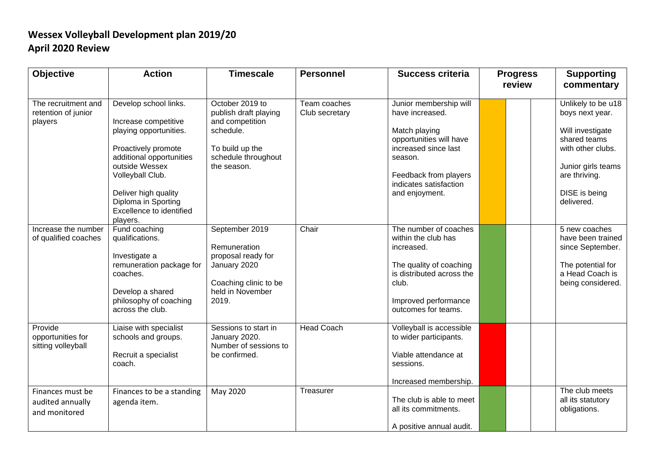## **Wessex Volleyball Development plan 2019/20 April 2020 Review**

| <b>Objective</b>                                      | <b>Action</b>                                                                                                                                                                                                                                           | <b>Timescale</b>                                                                                                                  | <b>Personnel</b>               | <b>Success criteria</b>                                                                                                                                                                       | <b>Progress</b><br>review |  | <b>Supporting</b><br>commentary                                                                                                                                      |
|-------------------------------------------------------|---------------------------------------------------------------------------------------------------------------------------------------------------------------------------------------------------------------------------------------------------------|-----------------------------------------------------------------------------------------------------------------------------------|--------------------------------|-----------------------------------------------------------------------------------------------------------------------------------------------------------------------------------------------|---------------------------|--|----------------------------------------------------------------------------------------------------------------------------------------------------------------------|
| The recruitment and<br>retention of junior<br>players | Develop school links.<br>Increase competitive<br>playing opportunities.<br>Proactively promote<br>additional opportunities<br>outside Wessex<br>Volleyball Club.<br>Deliver high quality<br>Diploma in Sporting<br>Excellence to identified<br>players. | October 2019 to<br>publish draft playing<br>and competition<br>schedule.<br>To build up the<br>schedule throughout<br>the season. | Team coaches<br>Club secretary | Junior membership will<br>have increased.<br>Match playing<br>opportunities will have<br>increased since last<br>season.<br>Feedback from players<br>indicates satisfaction<br>and enjoyment. |                           |  | Unlikely to be u18<br>boys next year.<br>Will investigate<br>shared teams<br>with other clubs.<br>Junior girls teams<br>are thriving.<br>DISE is being<br>delivered. |
| Increase the number<br>of qualified coaches           | Fund coaching<br>qualifications.<br>Investigate a<br>remuneration package for<br>coaches.<br>Develop a shared<br>philosophy of coaching<br>across the club.                                                                                             | September 2019<br>Remuneration<br>proposal ready for<br>January 2020<br>Coaching clinic to be<br>held in November<br>2019.        | Chair                          | The number of coaches<br>within the club has<br>increased.<br>The quality of coaching<br>is distributed across the<br>club.<br>Improved performance<br>outcomes for teams.                    |                           |  | 5 new coaches<br>have been trained<br>since September.<br>The potential for<br>a Head Coach is<br>being considered.                                                  |
| Provide<br>opportunities for<br>sitting volleyball    | Liaise with specialist<br>schools and groups.<br>Recruit a specialist<br>coach.                                                                                                                                                                         | Sessions to start in<br>January 2020.<br>Number of sessions to<br>be confirmed.                                                   | <b>Head Coach</b>              | Volleyball is accessible<br>to wider participants.<br>Viable attendance at<br>sessions.<br>Increased membership.                                                                              |                           |  |                                                                                                                                                                      |
| Finances must be<br>audited annually<br>and monitored | Finances to be a standing<br>agenda item.                                                                                                                                                                                                               | May 2020                                                                                                                          | Treasurer                      | The club is able to meet<br>all its commitments.<br>A positive annual audit.                                                                                                                  |                           |  | The club meets<br>all its statutory<br>obligations.                                                                                                                  |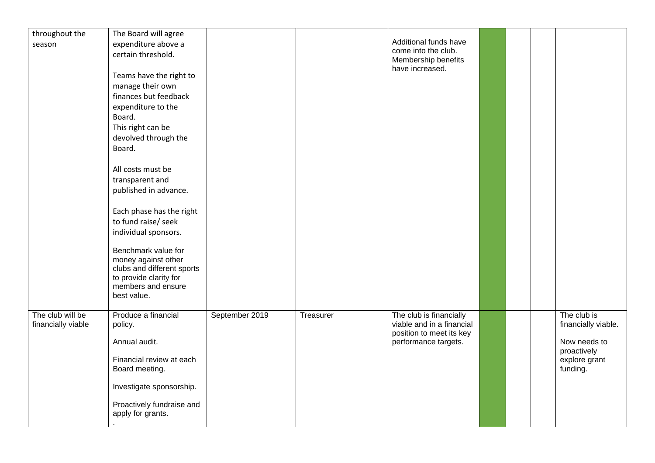| throughout the     | The Board will agree       |                |           | Additional funds have     |  |                             |
|--------------------|----------------------------|----------------|-----------|---------------------------|--|-----------------------------|
| season             | expenditure above a        |                |           | come into the club.       |  |                             |
|                    | certain threshold.         |                |           | Membership benefits       |  |                             |
|                    |                            |                |           | have increased.           |  |                             |
|                    | Teams have the right to    |                |           |                           |  |                             |
|                    | manage their own           |                |           |                           |  |                             |
|                    | finances but feedback      |                |           |                           |  |                             |
|                    | expenditure to the         |                |           |                           |  |                             |
|                    | Board.                     |                |           |                           |  |                             |
|                    | This right can be          |                |           |                           |  |                             |
|                    | devolved through the       |                |           |                           |  |                             |
|                    | Board.                     |                |           |                           |  |                             |
|                    |                            |                |           |                           |  |                             |
|                    | All costs must be          |                |           |                           |  |                             |
|                    | transparent and            |                |           |                           |  |                             |
|                    | published in advance.      |                |           |                           |  |                             |
|                    |                            |                |           |                           |  |                             |
|                    | Each phase has the right   |                |           |                           |  |                             |
|                    |                            |                |           |                           |  |                             |
|                    | to fund raise/ seek        |                |           |                           |  |                             |
|                    | individual sponsors.       |                |           |                           |  |                             |
|                    | Benchmark value for        |                |           |                           |  |                             |
|                    | money against other        |                |           |                           |  |                             |
|                    | clubs and different sports |                |           |                           |  |                             |
|                    | to provide clarity for     |                |           |                           |  |                             |
|                    | members and ensure         |                |           |                           |  |                             |
|                    | best value.                |                |           |                           |  |                             |
|                    |                            |                |           |                           |  |                             |
| The club will be   | Produce a financial        | September 2019 | Treasurer | The club is financially   |  | The club is                 |
| financially viable | policy.                    |                |           | viable and in a financial |  | financially viable.         |
|                    |                            |                |           | position to meet its key  |  |                             |
|                    | Annual audit.              |                |           | performance targets.      |  | Now needs to<br>proactively |
|                    | Financial review at each   |                |           |                           |  | explore grant               |
|                    | Board meeting.             |                |           |                           |  | funding.                    |
|                    |                            |                |           |                           |  |                             |
|                    | Investigate sponsorship.   |                |           |                           |  |                             |
|                    |                            |                |           |                           |  |                             |
|                    | Proactively fundraise and  |                |           |                           |  |                             |
|                    | apply for grants.          |                |           |                           |  |                             |
|                    |                            |                |           |                           |  |                             |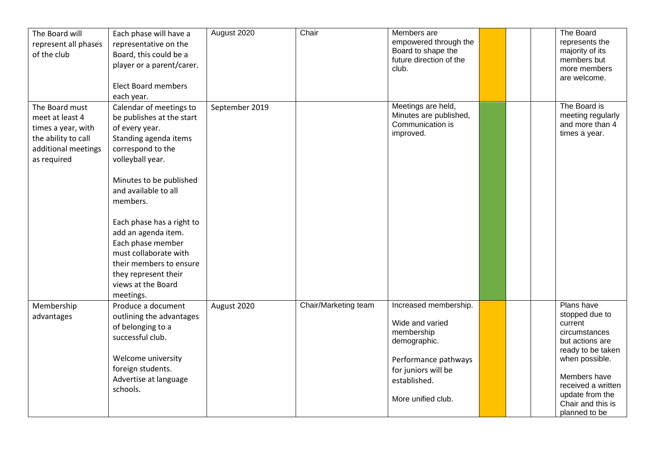| The Board will<br>represent all phases<br>of the club                                                                | Each phase will have a<br>representative on the<br>Board, this could be a<br>player or a parent/carer.<br><b>Elect Board members</b><br>each year.                                                                                                                                                                                                                                              | August 2020    | Chair                | Members are<br>empowered through the<br>Board to shape the<br>future direction of the<br>club.                                                              |  | The Board<br>represents the<br>majority of its<br>members but<br>more members<br>are welcome.                                                                                                                     |
|----------------------------------------------------------------------------------------------------------------------|-------------------------------------------------------------------------------------------------------------------------------------------------------------------------------------------------------------------------------------------------------------------------------------------------------------------------------------------------------------------------------------------------|----------------|----------------------|-------------------------------------------------------------------------------------------------------------------------------------------------------------|--|-------------------------------------------------------------------------------------------------------------------------------------------------------------------------------------------------------------------|
| The Board must<br>meet at least 4<br>times a year, with<br>the ability to call<br>additional meetings<br>as required | Calendar of meetings to<br>be publishes at the start<br>of every year.<br>Standing agenda items<br>correspond to the<br>volleyball year.<br>Minutes to be published<br>and available to all<br>members.<br>Each phase has a right to<br>add an agenda item.<br>Each phase member<br>must collaborate with<br>their members to ensure<br>they represent their<br>views at the Board<br>meetings. | September 2019 |                      | Meetings are held,<br>Minutes are published,<br>Communication is<br>improved.                                                                               |  | The Board is<br>meeting regularly<br>and more than 4<br>times a year.                                                                                                                                             |
| Membership<br>advantages                                                                                             | Produce a document<br>outlining the advantages<br>of belonging to a<br>successful club.<br>Welcome university<br>foreign students.<br>Advertise at language<br>schools.                                                                                                                                                                                                                         | August 2020    | Chair/Marketing team | Increased membership.<br>Wide and varied<br>membership<br>demographic.<br>Performance pathways<br>for juniors will be<br>established.<br>More unified club. |  | Plans have<br>stopped due to<br>current<br>circumstances<br>but actions are<br>ready to be taken<br>when possible.<br>Members have<br>received a written<br>update from the<br>Chair and this is<br>planned to be |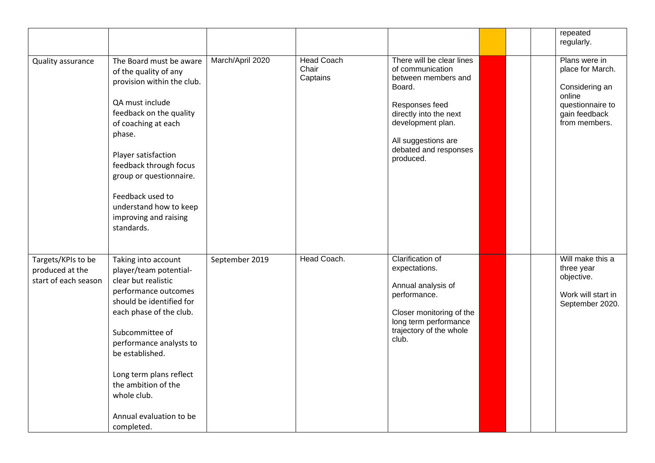|                                                               |                                                                                                                                                                                                                                                                                                                                |                  |                                        |                                                                                                                                                                                                              |  | repeated<br>regularly.                                                                                              |
|---------------------------------------------------------------|--------------------------------------------------------------------------------------------------------------------------------------------------------------------------------------------------------------------------------------------------------------------------------------------------------------------------------|------------------|----------------------------------------|--------------------------------------------------------------------------------------------------------------------------------------------------------------------------------------------------------------|--|---------------------------------------------------------------------------------------------------------------------|
| Quality assurance                                             | The Board must be aware<br>of the quality of any<br>provision within the club.<br>QA must include<br>feedback on the quality<br>of coaching at each<br>phase.<br>Player satisfaction<br>feedback through focus<br>group or questionnaire.<br>Feedback used to<br>understand how to keep<br>improving and raising<br>standards. | March/April 2020 | <b>Head Coach</b><br>Chair<br>Captains | There will be clear lines<br>of communication<br>between members and<br>Board.<br>Responses feed<br>directly into the next<br>development plan.<br>All suggestions are<br>debated and responses<br>produced. |  | Plans were in<br>place for March.<br>Considering an<br>online<br>questionnaire to<br>gain feedback<br>from members. |
| Targets/KPIs to be<br>produced at the<br>start of each season | Taking into account<br>player/team potential-<br>clear but realistic<br>performance outcomes<br>should be identified for<br>each phase of the club.<br>Subcommittee of<br>performance analysts to<br>be established.<br>Long term plans reflect<br>the ambition of the<br>whole club.<br>Annual evaluation to be<br>completed. | September 2019   | Head Coach.                            | <b>Clarification of</b><br>expectations.<br>Annual analysis of<br>performance.<br>Closer monitoring of the<br>long term performance<br>trajectory of the whole<br>club.                                      |  | Will make this a<br>three year<br>objective.<br>Work will start in<br>September 2020.                               |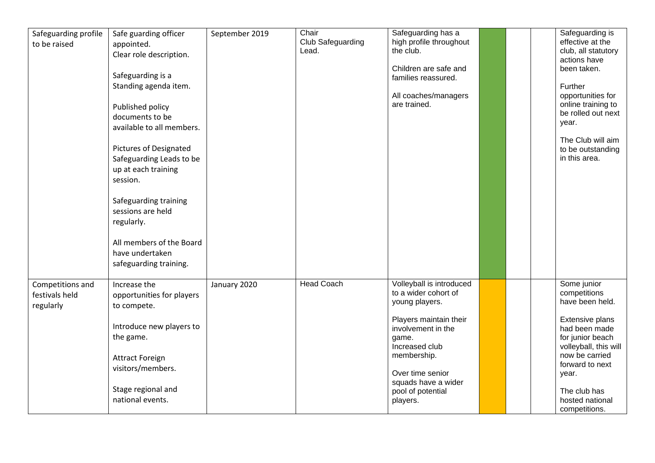| Safeguarding profile<br>to be raised            | Safe guarding officer<br>appointed.<br>Clear role description.<br>Safeguarding is a<br>Standing agenda item.<br>Published policy<br>documents to be<br>available to all members.<br><b>Pictures of Designated</b><br>Safeguarding Leads to be<br>up at each training<br>session.<br>Safeguarding training<br>sessions are held<br>regularly.<br>All members of the Board<br>have undertaken<br>safeguarding training. | September 2019 | Chair<br>Club Safeguarding<br>Lead. | Safeguarding has a<br>high profile throughout<br>the club.<br>Children are safe and<br>families reassured.<br>All coaches/managers<br>are trained.                                                                                       |  | Safeguarding is<br>effective at the<br>club, all statutory<br>actions have<br>been taken.<br>Further<br>opportunities for<br>online training to<br>be rolled out next<br>year.<br>The Club will aim<br>to be outstanding<br>in this area. |
|-------------------------------------------------|-----------------------------------------------------------------------------------------------------------------------------------------------------------------------------------------------------------------------------------------------------------------------------------------------------------------------------------------------------------------------------------------------------------------------|----------------|-------------------------------------|------------------------------------------------------------------------------------------------------------------------------------------------------------------------------------------------------------------------------------------|--|-------------------------------------------------------------------------------------------------------------------------------------------------------------------------------------------------------------------------------------------|
| Competitions and<br>festivals held<br>regularly | Increase the<br>opportunities for players<br>to compete.<br>Introduce new players to<br>the game.<br><b>Attract Foreign</b><br>visitors/members.<br>Stage regional and<br>national events.                                                                                                                                                                                                                            | January 2020   | <b>Head Coach</b>                   | Volleyball is introduced<br>to a wider cohort of<br>young players.<br>Players maintain their<br>involvement in the<br>game.<br>Increased club<br>membership.<br>Over time senior<br>squads have a wider<br>pool of potential<br>players. |  | Some junior<br>competitions<br>have been held.<br>Extensive plans<br>had been made<br>for junior beach<br>volleyball, this will<br>now be carried<br>forward to next<br>year.<br>The club has<br>hosted national<br>competitions.         |